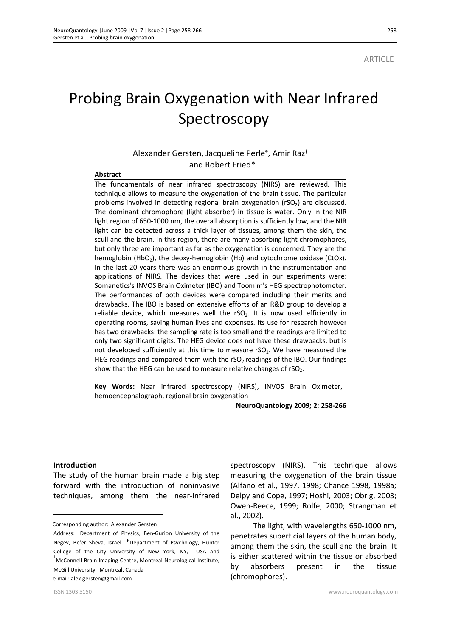# Probing Brain Oxygenation with Near Infrared Spectroscopy

# Alexander Gersten, Jacqueline Perle\*, Amir Raz† and Robert Fried\*

#### **Abstract**

The fundamentals of near infrared spectroscopy (NIRS) are reviewed. This technique allows to measure the oxygenation of the brain tissue. The particular problems involved in detecting regional brain oxygenation ( $rSO<sub>2</sub>$ ) are discussed. The dominant chromophore (light absorber) in tissue is water. Only in the NIR light region of 650-1000 nm, the overall absorption is sufficiently low, and the NIR light can be detected across a thick layer of tissues, among them the skin, the scull and the brain. In this region, there are many absorbing light chromophores, but only three are important as far as the oxygenation is concerned. They are the hemoglobin (HbO<sub>2</sub>), the deoxy-hemoglobin (Hb) and cytochrome oxidase (CtOx). In the last 20 years there was an enormous growth in the instrumentation and applications of NIRS. The devices that were used in our experiments were: Somanetics's INVOS Brain Oximeter (IBO) and Toomim's HEG spectrophotometer. The performances of both devices were compared including their merits and drawbacks. The IBO is based on extensive efforts of an R&D group to develop a reliable device, which measures well the  $rSO<sub>2</sub>$ . It is now used efficiently in operating rooms, saving human lives and expenses. Its use for research however has two drawbacks: the sampling rate is too small and the readings are limited to only two significant digits. The HEG device does not have these drawbacks, but is not developed sufficiently at this time to measure rSO<sub>2</sub>. We have measured the HEG readings and compared them with the  $rSO<sub>2</sub>$  readings of the IBO. Our findings show that the HEG can be used to measure relative changes of  $rSO<sub>2</sub>$ .

**Key Words:** Near infrared spectroscopy (NIRS), INVOS Brain Oximeter, hemoencephalograph, regional brain oxygenation

**NeuroQuantology 2009; 2: 258-266**

#### **Introduction**

The study of the human brain made a big step forward with the introduction of noninvasive techniques, among them the near-infrared

Corresponding author: Alexander Gersten

e-mail: alex.gersten@gmail.com

spectroscopy (NIRS). This technique allows measuring the oxygenation of the brain tissue (Alfano et al., 1997, 1998; Chance 1998, 1998a; Delpy and Cope, 1997; Hoshi, 2003; Obrig, 2003; Owen-Reece, 1999; Rolfe, 2000; Strangman et al., 2002).

The light, with wavelengths 650-1000 nm, penetrates superficial layers of the human body, among them the skin, the scull and the brain. It is either scattered within the tissue or absorbed by absorbers present in the tissue (chromophores).

Address: 1 Department of Physics, Ben-Gurion University of the Negev, Be'er Sheva, Israel. \*Department of Psychology, Hunter College of the City University of New York, NY, USA and <sup>†</sup>McConnell Brain Imaging Centre, Montreal Neurological Institute, McGill University, Montreal, Canada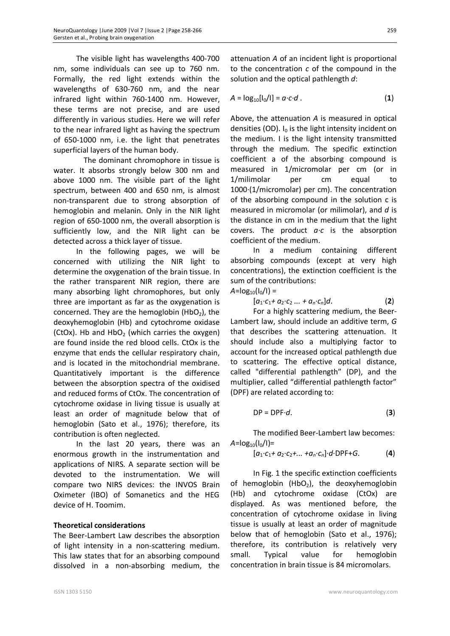The visible light has wavelengths 400-700 nm, some individuals can see up to 760 nm. Formally, the red light extends within the wavelengths of 630-760 nm, and the near infrared light within 760-1400 nm. However, these terms are not precise, and are used differently in various studies. Here we will refer to the near infrared light as having the spectrum of 650-1000 nm, i.e. the light that penetrates superficial layers of the human body.

 The dominant chromophore in tissue is water. It absorbs strongly below 300 nm and above 1000 nm. The visible part of the light spectrum, between 400 and 650 nm, is almost non-transparent due to strong absorption of hemoglobin and melanin. Only in the NIR light region of 650-1000 nm, the overall absorption is sufficiently low, and the NIR light can be detected across a thick layer of tissue.

In the following pages, we will be concerned with utilizing the NIR light to determine the oxygenation of the brain tissue. In the rather transparent NIR region, there are many absorbing light chromophores, but only three are important as far as the oxygenation is concerned. They are the hemoglobin  $(HbO<sub>2</sub>)$ , the deoxyhemoglobin (Hb) and cytochrome oxidase (CtOx). Hb and  $HbO<sub>2</sub>$  (which carries the oxygen) are found inside the red blood cells. CtOx is the enzyme that ends the cellular respiratory chain, and is located in the mitochondrial membrane. Quantitatively important is the difference between the absorption spectra of the oxidised and reduced forms of CtOx. The concentration of cytochrome oxidase in living tissue is usually at least an order of magnitude below that of hemoglobin (Sato et al., 1976); therefore, its contribution is often neglected.

In the last 20 years, there was an enormous growth in the instrumentation and applications of NIRS. A separate section will be devoted to the instrumentation. We will compare two NIRS devices: the INVOS Brain Oximeter (IBO) of Somanetics and the HEG device of H. Toomim.

## **Theoretical considerations**

The Beer-Lambert Law describes the absorption of light intensity in a non-scattering medium. This law states that for an absorbing compound dissolved in a non-absorbing medium, the

attenuation *A* of an incident light is proportional to the concentration *c* of the compound in the solution and the optical pathlength *d*:

$$
A = \log_{10}[I_0/I] = a \cdot c \cdot d \tag{1}
$$

Above, the attenuation *A* is measured in optical densities (OD).  $I_0$  is the light intensity incident on the medium. I is the light intensity transmitted through the medium. The specific extinction coefficient a of the absorbing compound is measured in 1/micromolar per cm (or in 1/milimolar per cm equal to 1000*∙*(1/micromolar) per cm). The concentration of the absorbing compound in the solution c is measured in micromolar (or milimolar), and *d* is the distance in cm in the medium that the light covers. The product *a∙c* is the absorption coefficient of the medium.

In a medium containing different absorbing compounds (except at very high concentrations), the extinction coefficient is the sum of the contributions:

 $A = log_{10}(I_0/I) =$ 

$$
[a_1 \cdot c_1 + a_2 \cdot c_2 \dots + a_n \cdot c_n]d. \tag{2}
$$

For a highly scattering medium, the Beer-Lambert law, should include an additive term, *G* that describes the scattering attenuation. It should include also a multiplying factor to account for the increased optical pathlength due to scattering. The effective optical distance, called "differential pathlength" (DP), and the multiplier, called "differential pathlength factor" (DPF) are related according to:

$$
DP = DPF \cdot d. \tag{3}
$$

The modified Beer-Lambert law becomes:  $A = log_{10}(I_0/I) =$ 

$$
[a_1 \cdot c_1 + a_2 \cdot c_2 + \dots + a_n \cdot c_n] \cdot d \cdot \text{DPF} + G. \tag{4}
$$

In Fig. 1 the specific extinction coefficients of hemoglobin (HbO<sub>2</sub>), the deoxyhemoglobin (Hb) and cytochrome oxidase (CtOx) are displayed. As was mentioned before, the concentration of cytochrome oxidase in living tissue is usually at least an order of magnitude below that of hemoglobin (Sato et al., 1976); therefore, its contribution is relatively very small. Typical value for hemoglobin concentration in brain tissue is 84 micromolars.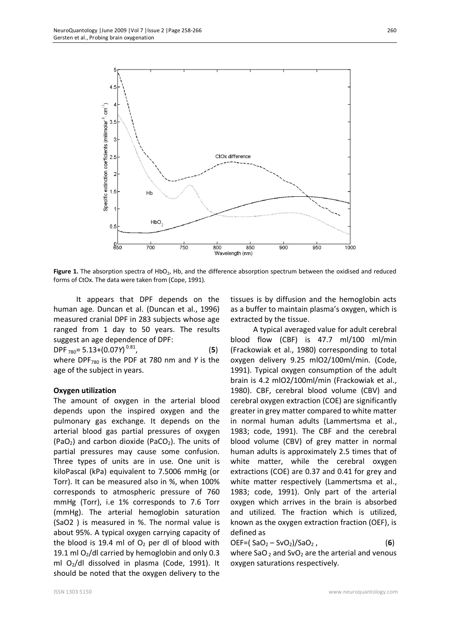

Figure 1. The absorption spectra of HbO<sub>2</sub>, Hb, and the difference absorption spectrum between the oxidised and reduced forms of CtOx. The data were taken from (Cope, 1991).

It appears that DPF depends on the human age. Duncan et al. (Duncan et al., 1996) measured cranial DPF in 283 subjects whose age ranged from 1 day to 50 years. The results suggest an age dependence of DPF:

DPF <sup>780</sup>= 5.13+(0.07*Y*) 0.81 , (**5**) where DPF<sup>780</sup> is the PDF at 780 nm and *Y* is the age of the subject in years.

#### **Oxygen utilization**

The amount of oxygen in the arterial blood depends upon the inspired oxygen and the pulmonary gas exchange. It depends on the arterial blood gas partial pressures of oxygen (PaO<sub>2</sub>) and carbon dioxide (PaCO<sub>2</sub>). The units of partial pressures may cause some confusion. Three types of units are in use. One unit is kiloPascal (kPa) equivalent to 7.5006 mmHg (or Torr). It can be measured also in %, when 100% corresponds to atmospheric pressure of 760 mmHg (Torr), i.e 1% corresponds to 7.6 Torr (mmHg). The arterial hemoglobin saturation (SaO2 ) is measured in %. The normal value is about 95%. A typical oxygen carrying capacity of the blood is 19.4 ml of  $O<sub>2</sub>$  per dl of blood with 19.1 ml  $O<sub>2</sub>/dl$  carried by hemoglobin and only 0.3 ml O2/dl dissolved in plasma (Code, 1991). It should be noted that the oxygen delivery to the

tissues is by diffusion and the hemoglobin acts as a buffer to maintain plasma's oxygen, which is extracted by the tissue.

A typical averaged value for adult cerebral blood flow (CBF) is 47.7 ml/100 ml/min (Frackowiak et al., 1980) corresponding to total oxygen delivery 9.25 mlO2/100ml/min. (Code, 1991). Typical oxygen consumption of the adult brain is 4.2 mlO2/100ml/min (Frackowiak et al., 1980). CBF, cerebral blood volume (CBV) and cerebral oxygen extraction (COE) are significantly greater in grey matter compared to white matter in normal human adults (Lammertsma et al., 1983; code, 1991). The CBF and the cerebral blood volume (CBV) of grey matter in normal human adults is approximately 2.5 times that of white matter, while the cerebral oxygen extractions (COE) are 0.37 and 0.41 for grey and white matter respectively (Lammertsma et al., 1983; code, 1991). Only part of the arterial oxygen which arrives in the brain is absorbed and utilized. The fraction which is utilized, known as the oxygen extraction fraction (OEF), is defined as

 $DEF = ( SaO<sub>2</sub> - SvO<sub>2</sub>)/SaO<sub>2</sub>$ , (6) where SaO<sub>2</sub> and SvO<sub>2</sub> are the arterial and venous oxygen saturations respectively.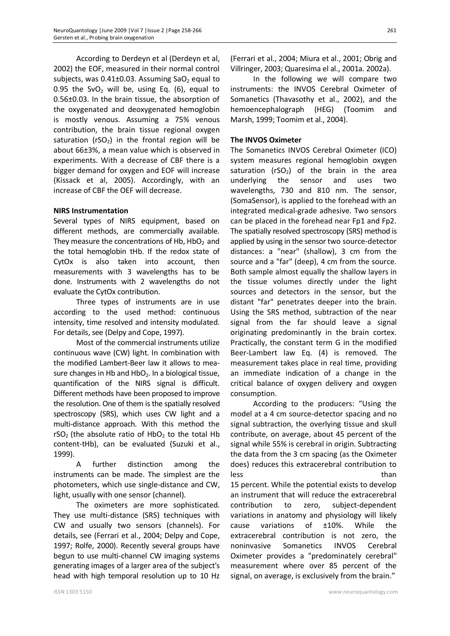According to Derdeyn et al (Derdeyn et al, 2002) the EOF, measured in their normal control subjects, was  $0.41\pm0.03$ . Assuming SaO<sub>2</sub> equal to 0.95 the SvO<sub>2</sub> will be, using Eq. (6), equal to 0.56±0.03. In the brain tissue, the absorption of the oxygenated and deoxygenated hemoglobin is mostly venous. Assuming a 75% venous contribution, the brain tissue regional oxygen saturation ( $rSO<sub>2</sub>$ ) in the frontal region will be about 66±3%, a mean value which is observed in experiments. With a decrease of CBF there is a bigger demand for oxygen and EOF will increase (Kissack et al, 2005). Accordingly, with an increase of CBF the OEF will decrease.

#### **NIRS Instrumentation**

Several types of NIRS equipment, based on different methods, are commercially available. They measure the concentrations of Hb,  $HbO<sub>2</sub>$  and the total hemoglobin tHb. If the redox state of CytOx is also taken into account, then measurements with 3 wavelengths has to be done. Instruments with 2 wavelengths do not evaluate the CytOx contribution.

Three types of instruments are in use according to the used method: continuous intensity, time resolved and intensity modulated. For details, see (Delpy and Cope, 1997).

Most of the commercial instruments utilize continuous wave (CW) light. In combination with the modified Lambert-Beer law it allows to measure changes in Hb and  $HbO<sub>2</sub>$ . In a biological tissue, quantification of the NIRS signal is difficult. Different methods have been proposed to improve the resolution. One of them is the spatially resolved spectroscopy (SRS), which uses CW light and a multi-distance approach. With this method the rSO<sub>2</sub> (the absolute ratio of HbO<sub>2</sub> to the total Hb content-tHb), can be evaluated (Suzuki et al., 1999).

A further distinction among the instruments can be made. The simplest are the photometers, which use single-distance and CW, light, usually with one sensor (channel).

The oximeters are more sophisticated. They use multi-distance (SRS) techniques with CW and usually two sensors (channels). For details, see (Ferrari et al., 2004; Delpy and Cope, 1997; Rolfe, 2000). Recently several groups have begun to use multi-channel CW imaging systems generating images of a larger area of the subject's head with high temporal resolution up to 10 Hz

(Ferrari et al., 2004; Miura et al., 2001; Obrig and Villringer, 2003; Quaresima el al., 2001a. 2002a).

In the following we will compare two instruments: the INVOS Cerebral Oximeter of Somanetics (Thavasothy et al., 2002), and the hemoencephalograph (HEG) (Toomim and Marsh, 1999; Toomim et al., 2004).

### **The INVOS Oximeter**

The Somanetics INVOS Cerebral Oximeter (ICO) system measures regional hemoglobin oxygen saturation ( $rSO<sub>2</sub>$ ) of the brain in the area underlying the sensor and uses two wavelengths, 730 and 810 nm. The sensor, (SomaSensor), is applied to the forehead with an integrated medical-grade adhesive. Two sensors can be placed in the forehead near Fp1 and Fp2. The spatially resolved spectroscopy (SRS) method is applied by using in the sensor two source-detector distances: a "near" (shallow), 3 cm from the source and a "far" (deep), 4 cm from the source. Both sample almost equally the shallow layers in the tissue volumes directly under the light sources and detectors in the sensor, but the distant "far" penetrates deeper into the brain. Using the SRS method, subtraction of the near signal from the far should leave a signal originating predominantly in the brain cortex. Practically, the constant term G in the modified Beer-Lambert law Eq. (4) is removed. The measurement takes place in real time, providing an immediate indication of a change in the critical balance of oxygen delivery and oxygen consumption.

According to the producers: "Using the model at a 4 cm source-detector spacing and no signal subtraction, the overlying tissue and skull contribute, on average, about 45 percent of the signal while 55% is cerebral in origin. Subtracting the data from the 3 cm spacing (as the Oximeter does) reduces this extracerebral contribution to less than the control of the control of the control of the control of the control of the control of the control of the control of the control of the control of the control of the control of the control of the control of th 15 percent. While the potential exists to develop an instrument that will reduce the extracerebral contribution to zero, subject-dependent variations in anatomy and physiology will likely cause variations of ±10%. While the

extracerebral contribution is not zero, the noninvasive Somanetics INVOS Cerebral Oximeter provides a "predominately cerebral" measurement where over 85 percent of the signal, on average, is exclusively from the brain."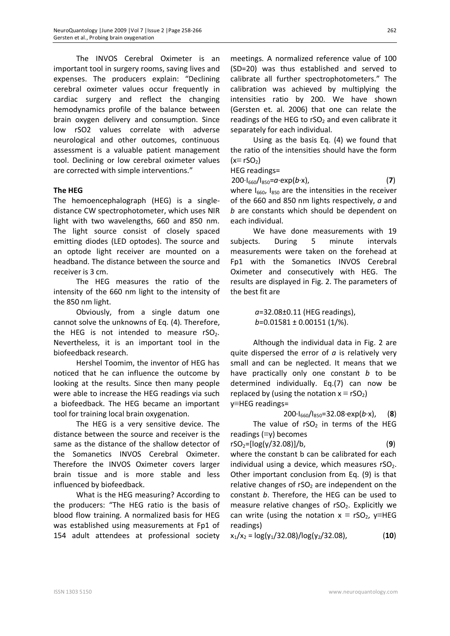The INVOS Cerebral Oximeter is an important tool in surgery rooms, saving lives and expenses. The producers explain: "Declining cerebral oximeter values occur frequently in cardiac surgery and reflect the changing hemodynamics profile of the balance between brain oxygen delivery and consumption. Since low rSO2 values correlate with adverse neurological and other outcomes, continuous assessment is a valuable patient management tool. Declining or low cerebral oximeter values are corrected with simple interventions."

## **The HEG**

The hemoencephalograph (HEG) is a singledistance CW spectrophotometer, which uses NIR light with two wavelengths, 660 and 850 nm. The light source consist of closely spaced emitting diodes (LED optodes). The source and an optode light receiver are mounted on a headband. The distance between the source and receiver is 3 cm.

The HEG measures the ratio of the intensity of the 660 nm light to the intensity of the 850 nm light.

Obviously, from a single datum one cannot solve the unknowns of Eq. (4). Therefore, the HEG is not intended to measure  $rSO<sub>2</sub>$ . Nevertheless, it is an important tool in the biofeedback research.

Hershel Toomim, the inventor of HEG has noticed that he can influence the outcome by looking at the results. Since then many people were able to increase the HEG readings via such a biofeedback. The HEG became an important tool for training local brain oxygenation.

The HEG is a very sensitive device. The distance between the source and receiver is the same as the distance of the shallow detector of the Somanetics INVOS Cerebral Oximeter. Therefore the INVOS Oximeter covers larger brain tissue and is more stable and less influenced by biofeedback.

What is the HEG measuring? According to the producers: "The HEG ratio is the basis of blood flow training. A normalized basis for HEG was established using measurements at Fp1 of 154 adult attendees at professional society

meetings. A normalized reference value of 100 (SD=20) was thus established and served to calibrate all further spectrophotometers." The calibration was achieved by multiplying the intensities ratio by 200. We have shown (Gersten et. al. 2006) that one can relate the readings of the HEG to  $rSO<sub>2</sub>$  and even calibrate it separately for each individual.

Using as the basis Eq. (4) we found that the ratio of the intensities should have the form  $(x\equiv rSO<sub>2</sub>)$ 

HEG readings=

200∙I660/I850=*a*∙exp(*b*∙x), (**7**)

where  $I_{660}$ ,  $I_{850}$  are the intensities in the receiver of the 660 and 850 nm lights respectively, *a* and *b* are constants which should be dependent on each individual.

We have done measurements with 19 subjects. During 5 minute intervals measurements were taken on the forehead at Fp1 with the Somanetics INVOS Cerebral Oximeter and consecutively with HEG. The results are displayed in Fig. 2. The parameters of the best fit are

> *a*=32.08±0.11 (HEG readings),  *b*=0.01581 ± 0.00151 (1/%).

Although the individual data in Fig. 2 are quite dispersed the error of *a* is relatively very small and can be neglected. It means that we have practically only one constant *b* to be determined individually. Eq.(7) can now be replaced by (using the notation  $x \equiv rSO_2$ ) y≡HEG readings=

200∙I660/I850=32.08∙exp(*b*∙x), (**8**) The value of  $rSO<sub>2</sub>$  in terms of the HEG readings (≡y) becomes

$$
rSO_2 = [log(y/32.08)]/b,
$$
 (9)

where the constant b can be calibrated for each individual using a device, which measures  $rSO<sub>2</sub>$ . Other important conclusion from Eq. (9) is that relative changes of  $rSO<sub>2</sub>$  are independent on the constant *b*. Therefore, the HEG can be used to measure relative changes of  $rSO<sub>2</sub>$ . Explicitly we can write (using the notation  $x \equiv rSO_2$ , y≡HEG readings)

$$
x_1/x_2 = \log(y_1/32.08)/\log(y_2/32.08),
$$
 (10)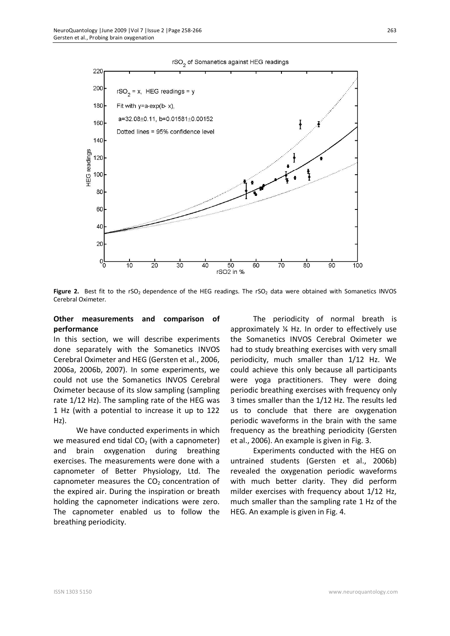



Figure 2. Best fit to the rSO<sub>2</sub> dependence of the HEG readings. The rSO<sub>2</sub> data were obtained with Somanetics INVOS Cerebral Oximeter.

#### **Other measurements and comparison of performance**

In this section, we will describe experiments done separately with the Somanetics INVOS Cerebral Oximeter and HEG (Gersten et al., 2006, 2006a, 2006b, 2007). In some experiments, we could not use the Somanetics INVOS Cerebral Oximeter because of its slow sampling (sampling rate 1/12 Hz). The sampling rate of the HEG was 1 Hz (with a potential to increase it up to 122 Hz).

We have conducted experiments in which we measured end tidal  $CO<sub>2</sub>$  (with a capnometer) and brain oxygenation during breathing exercises. The measurements were done with a capnometer of Better Physiology, Ltd. The capnometer measures the  $CO<sub>2</sub>$  concentration of the expired air. During the inspiration or breath holding the capnometer indications were zero. The capnometer enabled us to follow the breathing periodicity.

The periodicity of normal breath is approximately ¼ Hz. In order to effectively use the Somanetics INVOS Cerebral Oximeter we had to study breathing exercises with very small periodicity, much smaller than 1/12 Hz. We could achieve this only because all participants were yoga practitioners. They were doing periodic breathing exercises with frequency only 3 times smaller than the 1/12 Hz. The results led us to conclude that there are oxygenation periodic waveforms in the brain with the same frequency as the breathing periodicity (Gersten et al., 2006). An example is given in Fig. 3.

Experiments conducted with the HEG on untrained students (Gersten et al., 2006b) revealed the oxygenation periodic waveforms with much better clarity. They did perform milder exercises with frequency about 1/12 Hz, much smaller than the sampling rate 1 Hz of the HEG. An example is given in Fig. 4.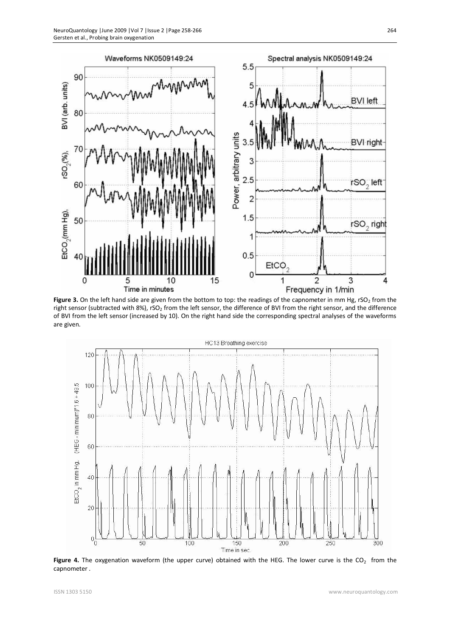

Figure 3. On the left hand side are given from the bottom to top: the readings of the capnometer in mm Hg, rSO<sub>2</sub> from the right sensor (subtracted with 8%), rSO<sub>2</sub> from the left sensor, the difference of BVI from the right sensor, and the difference of BVI from the left sensor (increased by 10). On the right hand side the corresponding spectral analyses of the waveforms are given.



**Figure 4.** The oxygenation waveform (the upper curve) obtained with the HEG. The lower curve is the CO<sub>2</sub> from the capnometer .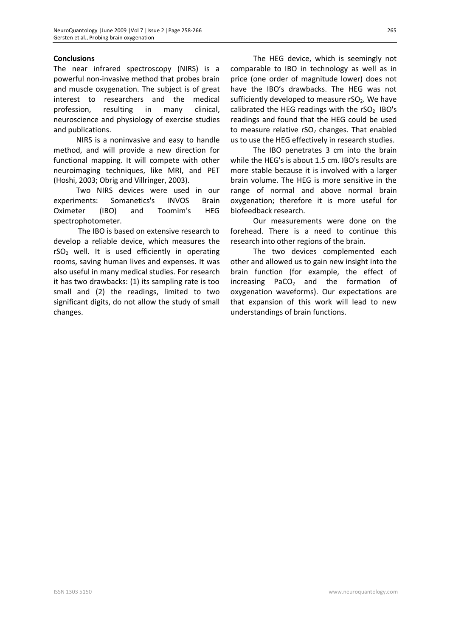## **Conclusions**

The near infrared spectroscopy (NIRS) is a powerful non-invasive method that probes brain and muscle oxygenation. The subject is of great interest to researchers and the medical profession, resulting in many clinical, neuroscience and physiology of exercise studies and publications.

NIRS is a noninvasive and easy to handle method, and will provide a new direction for functional mapping. It will compete with other neuroimaging techniques, like MRI, and PET (Hoshi, 2003; Obrig and Villringer, 2003).

Two NIRS devices were used in our experiments: Somanetics's INVOS Brain Oximeter (IBO) and Toomim's HEG spectrophotometer.

 The IBO is based on extensive research to develop a reliable device, which measures the  $rSO<sub>2</sub>$  well. It is used efficiently in operating rooms, saving human lives and expenses. It was also useful in many medical studies. For research it has two drawbacks: (1) its sampling rate is too small and (2) the readings, limited to two significant digits, do not allow the study of small changes.

The HEG device, which is seemingly not comparable to IBO in technology as well as in price (one order of magnitude lower) does not have the IBO's drawbacks. The HEG was not sufficiently developed to measure  $rSO<sub>2</sub>$ . We have calibrated the HEG readings with the  $rSO<sub>2</sub>$  IBO's readings and found that the HEG could be used to measure relative  $rSO<sub>2</sub>$  changes. That enabled us to use the HEG effectively in research studies.

The IBO penetrates 3 cm into the brain while the HEG's is about 1.5 cm. IBO's results are more stable because it is involved with a larger brain volume. The HEG is more sensitive in the range of normal and above normal brain oxygenation; therefore it is more useful for biofeedback research.

Our measurements were done on the forehead. There is a need to continue this research into other regions of the brain.

The two devices complemented each other and allowed us to gain new insight into the brain function (for example, the effect of  $increasing$  PaCO<sub>2</sub> and the formation of oxygenation waveforms). Our expectations are that expansion of this work will lead to new understandings of brain functions.